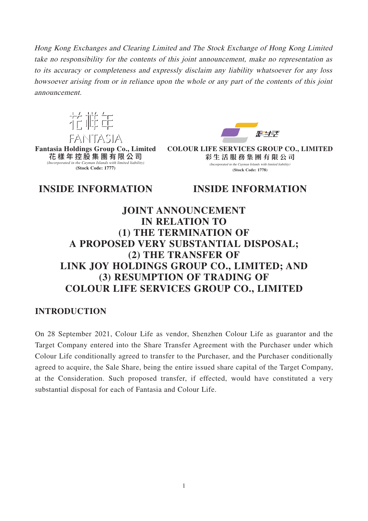Hong Kong Exchanges and Clearing Limited and The Stock Exchange of Hong Kong Limited take no responsibility for the contents of this joint announcement, make no representation as to its accuracy or completeness and expressly disclaim any liability whatsoever for any loss howsoever arising from or in reliance upon the whole or any part of the contents of this joint announcement.



**Fantasia Holdings Group Co., Limited** 花樣年控股集團有限公 司 *(Incorporated in the Cayman Islands with limited liability)* **(Stock Code: 1777)**



**COLOUR LIFE SERVICES GROUP CO., LIMITED 彩生活服務集團有限公 司** (Incorporated in the Cayman Islands with limited liability) **(Stock Code: 1778)**

**INSIDE INFORMATION INSIDE INFORMATION**

# **JOINT ANNOUNCEMENT IN RELATION TO (1) THE TERMINATION OF A PROPOSED VERY SUBSTANTIAL DISPOSAL; (2) THE TRANSFER OF LINK JOY HOLDINGS GROUP CO., LIMITED; AND (3) RESUMPTION OF TRADING OF COLOUR LIFE SERVICES GROUP CO., LIMITED**

## **INTRODUCTION**

On 28 September 2021, Colour Life as vendor, Shenzhen Colour Life as guarantor and the Target Company entered into the Share Transfer Agreement with the Purchaser under which Colour Life conditionally agreed to transfer to the Purchaser, and the Purchaser conditionally agreed to acquire, the Sale Share, being the entire issued share capital of the Target Company, at the Consideration. Such proposed transfer, if effected, would have constituted a very substantial disposal for each of Fantasia and Colour Life.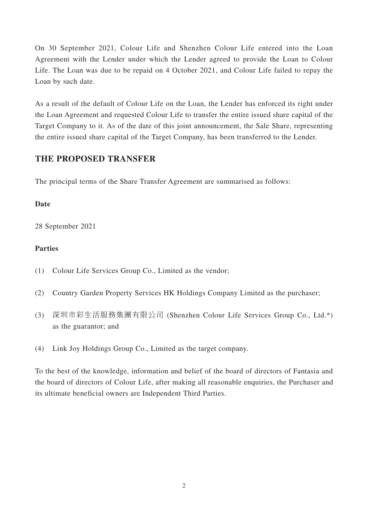On 30 September 2021, Colour Life and Shenzhen Colour Life entered into the Loan Agreement with the Lender under which the Lender agreed to provide the Loan to Colour Life. The Loan was due to be repaid on 4 October 2021, and Colour Life failed to repay the Loan by such date.

As a result of the default of Colour Life on the Loan, the Lender has enforced its right under the Loan Agreement and requested Colour Life to transfer the entire issued share capital of the Target Company to it. As of the date of this joint announcement, the Sale Share, representing the entire issued share capital of the Target Company, has been transferred to the Lender.

## **THE PROPOSED TRANSFER**

The principal terms of the Share Transfer Agreement are summarised as follows:

#### **Date**

28 September 2021

### **Parties**

- (1) Colour Life Services Group Co., Limited as the vendor;
- (2) Country Garden Property Services HK Holdings Company Limited as the purchaser;
- (3) 深圳市彩生活服務集團有限公司 (Shenzhen Colour Life Services Group Co., Ltd.\*) as the guarantor; and
- (4) Link Joy Holdings Group Co., Limited as the target company.

To the best of the knowledge, information and belief of the board of directors of Fantasia and the board of directors of Colour Life, after making all reasonable enquiries, the Purchaser and its ultimate beneficial owners are Independent Third Parties.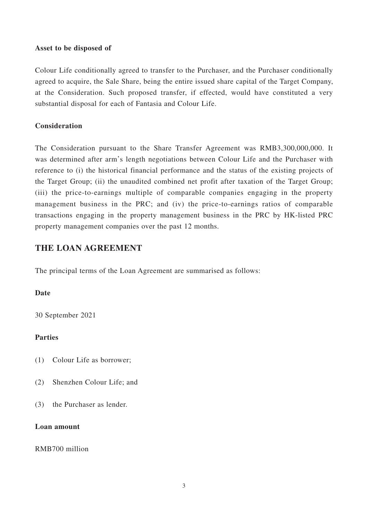#### **Asset to be disposed of**

Colour Life conditionally agreed to transfer to the Purchaser, and the Purchaser conditionally agreed to acquire, the Sale Share, being the entire issued share capital of the Target Company, at the Consideration. Such proposed transfer, if effected, would have constituted a very substantial disposal for each of Fantasia and Colour Life.

#### **Consideration**

The Consideration pursuant to the Share Transfer Agreement was RMB3,300,000,000. It was determined after arm's length negotiations between Colour Life and the Purchaser with reference to (i) the historical financial performance and the status of the existing projects of the Target Group; (ii) the unaudited combined net profit after taxation of the Target Group; (iii) the price-to-earnings multiple of comparable companies engaging in the property management business in the PRC; and (iv) the price-to-earnings ratios of comparable transactions engaging in the property management business in the PRC by HK-listed PRC property management companies over the past 12 months.

## **THE LOAN AGREEMENT**

The principal terms of the Loan Agreement are summarised as follows:

#### **Date**

30 September 2021

#### **Parties**

- (1) Colour Life as borrower;
- (2) Shenzhen Colour Life; and
- (3) the Purchaser as lender.

#### **Loan amount**

RMB700 million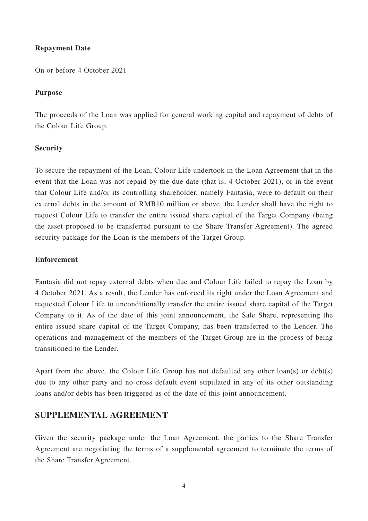#### **Repayment Date**

On or before 4 October 2021

#### **Purpose**

The proceeds of the Loan was applied for general working capital and repayment of debts of the Colour Life Group.

#### **Security**

To secure the repayment of the Loan, Colour Life undertook in the Loan Agreement that in the event that the Loan was not repaid by the due date (that is, 4 October 2021), or in the event that Colour Life and/or its controlling shareholder, namely Fantasia, were to default on their external debts in the amount of RMB10 million or above, the Lender shall have the right to request Colour Life to transfer the entire issued share capital of the Target Company (being the asset proposed to be transferred pursuant to the Share Transfer Agreement). The agreed security package for the Loan is the members of the Target Group.

#### **Enforcement**

Fantasia did not repay external debts when due and Colour Life failed to repay the Loan by 4 October 2021. As a result, the Lender has enforced its right under the Loan Agreement and requested Colour Life to unconditionally transfer the entire issued share capital of the Target Company to it. As of the date of this joint announcement, the Sale Share, representing the entire issued share capital of the Target Company, has been transferred to the Lender. The operations and management of the members of the Target Group are in the process of being transitioned to the Lender.

Apart from the above, the Colour Life Group has not defaulted any other loan(s) or debt(s) due to any other party and no cross default event stipulated in any of its other outstanding loans and/or debts has been triggered as of the date of this joint announcement.

## **SUPPLEMENTAL AGREEMENT**

Given the security package under the Loan Agreement, the parties to the Share Transfer Agreement are negotiating the terms of a supplemental agreement to terminate the terms of the Share Transfer Agreement.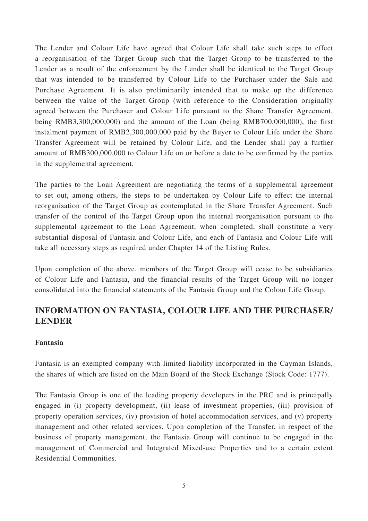The Lender and Colour Life have agreed that Colour Life shall take such steps to effect a reorganisation of the Target Group such that the Target Group to be transferred to the Lender as a result of the enforcement by the Lender shall be identical to the Target Group that was intended to be transferred by Colour Life to the Purchaser under the Sale and Purchase Agreement. It is also preliminarily intended that to make up the difference between the value of the Target Group (with reference to the Consideration originally agreed between the Purchaser and Colour Life pursuant to the Share Transfer Agreement, being RMB3,300,000,000) and the amount of the Loan (being RMB700,000,000), the first instalment payment of RMB2,300,000,000 paid by the Buyer to Colour Life under the Share Transfer Agreement will be retained by Colour Life, and the Lender shall pay a further amount of RMB300,000,000 to Colour Life on or before a date to be confirmed by the parties in the supplemental agreement.

The parties to the Loan Agreement are negotiating the terms of a supplemental agreement to set out, among others, the steps to be undertaken by Colour Life to effect the internal reorganisation of the Target Group as contemplated in the Share Transfer Agreement. Such transfer of the control of the Target Group upon the internal reorganisation pursuant to the supplemental agreement to the Loan Agreement, when completed, shall constitute a very substantial disposal of Fantasia and Colour Life, and each of Fantasia and Colour Life will take all necessary steps as required under Chapter 14 of the Listing Rules.

Upon completion of the above, members of the Target Group will cease to be subsidiaries of Colour Life and Fantasia, and the financial results of the Target Group will no longer consolidated into the financial statements of the Fantasia Group and the Colour Life Group.

## **INFORMATION ON FANTASIA, COLOUR LIFE AND THE PURCHASER/ LENDER**

#### **Fantasia**

Fantasia is an exempted company with limited liability incorporated in the Cayman Islands, the shares of which are listed on the Main Board of the Stock Exchange (Stock Code: 1777).

The Fantasia Group is one of the leading property developers in the PRC and is principally engaged in (i) property development, (ii) lease of investment properties, (iii) provision of property operation services, (iv) provision of hotel accommodation services, and (v) property management and other related services. Upon completion of the Transfer, in respect of the business of property management, the Fantasia Group will continue to be engaged in the management of Commercial and Integrated Mixed-use Properties and to a certain extent Residential Communities.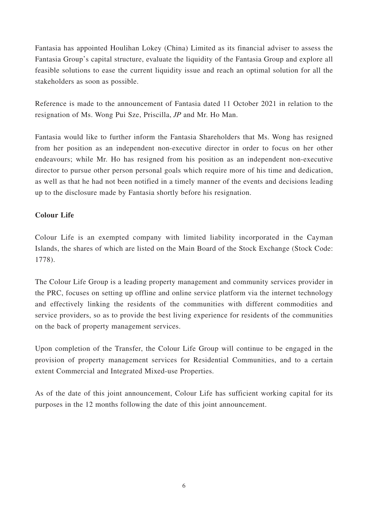Fantasia has appointed Houlihan Lokey (China) Limited as its financial adviser to assess the Fantasia Group's capital structure, evaluate the liquidity of the Fantasia Group and explore all feasible solutions to ease the current liquidity issue and reach an optimal solution for all the stakeholders as soon as possible.

Reference is made to the announcement of Fantasia dated 11 October 2021 in relation to the resignation of Ms. Wong Pui Sze, Priscilla, JP and Mr. Ho Man.

Fantasia would like to further inform the Fantasia Shareholders that Ms. Wong has resigned from her position as an independent non-executive director in order to focus on her other endeavours; while Mr. Ho has resigned from his position as an independent non-executive director to pursue other person personal goals which require more of his time and dedication, as well as that he had not been notified in a timely manner of the events and decisions leading up to the disclosure made by Fantasia shortly before his resignation.

## **Colour Life**

Colour Life is an exempted company with limited liability incorporated in the Cayman Islands, the shares of which are listed on the Main Board of the Stock Exchange (Stock Code: 1778).

The Colour Life Group is a leading property management and community services provider in the PRC, focuses on setting up offline and online service platform via the internet technology and effectively linking the residents of the communities with different commodities and service providers, so as to provide the best living experience for residents of the communities on the back of property management services.

Upon completion of the Transfer, the Colour Life Group will continue to be engaged in the provision of property management services for Residential Communities, and to a certain extent Commercial and Integrated Mixed-use Properties.

As of the date of this joint announcement, Colour Life has sufficient working capital for its purposes in the 12 months following the date of this joint announcement.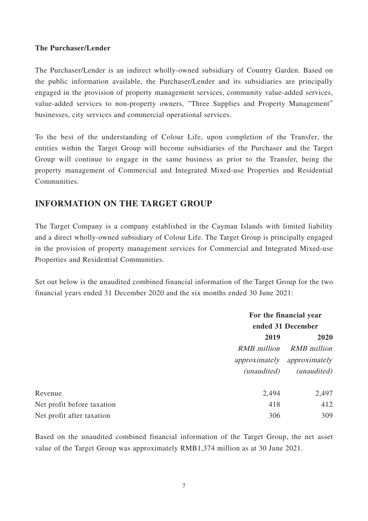#### **The Purchaser/Lender**

The Purchaser/Lender is an indirect wholly-owned subsidiary of Country Garden. Based on the public information available, the Purchaser/Lender and its subsidiaries are principally engaged in the provision of property management services, community value-added services, value-added services to non-property owners, "Three Supplies and Property Management" businesses, city services and commercial operational services.

To the best of the understanding of Colour Life, upon completion of the Transfer, the entities within the Target Group will become subsidiaries of the Purchaser and the Target Group will continue to engage in the same business as prior to the Transfer, being the property management of Commercial and Integrated Mixed-use Properties and Residential Communities.

## **INFORMATION ON THE TARGET GROUP**

The Target Company is a company established in the Cayman Islands with limited liability and a direct wholly-owned subsidiary of Colour Life. The Target Group is principally engaged in the provision of property management services for Commercial and Integrated Mixed-use Properties and Residential Communities.

Set out below is the unaudited combined financial information of the Target Group for the two financial years ended 31 December 2020 and the six months ended 30 June 2021:

|                            | For the financial year |                             |  |
|----------------------------|------------------------|-----------------------------|--|
|                            |                        | ended 31 December           |  |
|                            | 2019                   | 2020                        |  |
|                            | RMB million            | <b>RMB</b> million          |  |
|                            |                        | approximately approximately |  |
|                            | <i>(unaudited)</i>     | ( <i>unaudited</i> )        |  |
| Revenue                    | 2,494                  | 2,497                       |  |
| Net profit before taxation | 418                    | 412                         |  |
| Net profit after taxation  | 306                    | 309                         |  |

Based on the unaudited combined financial information of the Target Group, the net asset value of the Target Group was approximately RMB1,374 million as at 30 June 2021.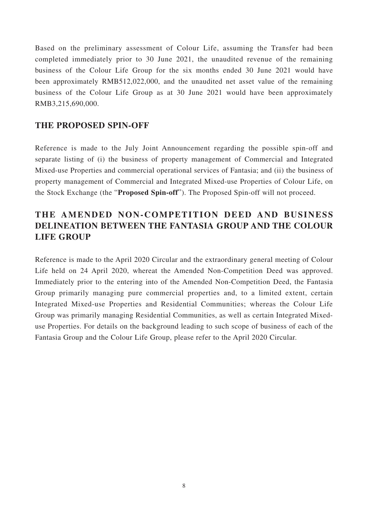Based on the preliminary assessment of Colour Life, assuming the Transfer had been completed immediately prior to 30 June 2021, the unaudited revenue of the remaining business of the Colour Life Group for the six months ended 30 June 2021 would have been approximately RMB512,022,000, and the unaudited net asset value of the remaining business of the Colour Life Group as at 30 June 2021 would have been approximately RMB3,215,690,000.

## **THE PROPOSED SPIN-OFF**

Reference is made to the July Joint Announcement regarding the possible spin-off and separate listing of (i) the business of property management of Commercial and Integrated Mixed-use Properties and commercial operational services of Fantasia; and (ii) the business of property management of Commercial and Integrated Mixed-use Properties of Colour Life, on the Stock Exchange (the "**Proposed Spin-off**"). The Proposed Spin-off will not proceed.

# **THE AMENDED NON-COMPETITION DEED AND BUSINESS DELINEATION BETWEEN THE FANTASIA GROUP AND THE COLOUR LIFE GROUP**

Reference is made to the April 2020 Circular and the extraordinary general meeting of Colour Life held on 24 April 2020, whereat the Amended Non-Competition Deed was approved. Immediately prior to the entering into of the Amended Non-Competition Deed, the Fantasia Group primarily managing pure commercial properties and, to a limited extent, certain Integrated Mixed-use Properties and Residential Communities; whereas the Colour Life Group was primarily managing Residential Communities, as well as certain Integrated Mixeduse Properties. For details on the background leading to such scope of business of each of the Fantasia Group and the Colour Life Group, please refer to the April 2020 Circular.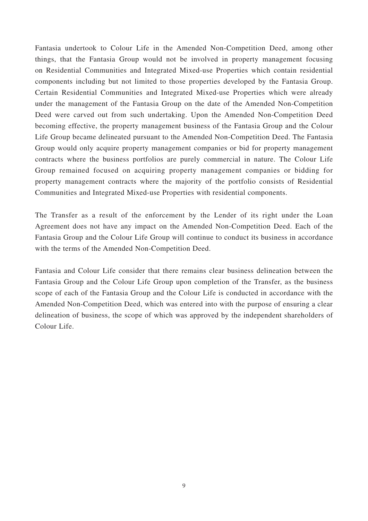Fantasia undertook to Colour Life in the Amended Non-Competition Deed, among other things, that the Fantasia Group would not be involved in property management focusing on Residential Communities and Integrated Mixed-use Properties which contain residential components including but not limited to those properties developed by the Fantasia Group. Certain Residential Communities and Integrated Mixed-use Properties which were already under the management of the Fantasia Group on the date of the Amended Non-Competition Deed were carved out from such undertaking. Upon the Amended Non-Competition Deed becoming effective, the property management business of the Fantasia Group and the Colour Life Group became delineated pursuant to the Amended Non-Competition Deed. The Fantasia Group would only acquire property management companies or bid for property management contracts where the business portfolios are purely commercial in nature. The Colour Life Group remained focused on acquiring property management companies or bidding for property management contracts where the majority of the portfolio consists of Residential Communities and Integrated Mixed-use Properties with residential components.

The Transfer as a result of the enforcement by the Lender of its right under the Loan Agreement does not have any impact on the Amended Non-Competition Deed. Each of the Fantasia Group and the Colour Life Group will continue to conduct its business in accordance with the terms of the Amended Non-Competition Deed.

Fantasia and Colour Life consider that there remains clear business delineation between the Fantasia Group and the Colour Life Group upon completion of the Transfer, as the business scope of each of the Fantasia Group and the Colour Life is conducted in accordance with the Amended Non-Competition Deed, which was entered into with the purpose of ensuring a clear delineation of business, the scope of which was approved by the independent shareholders of Colour Life.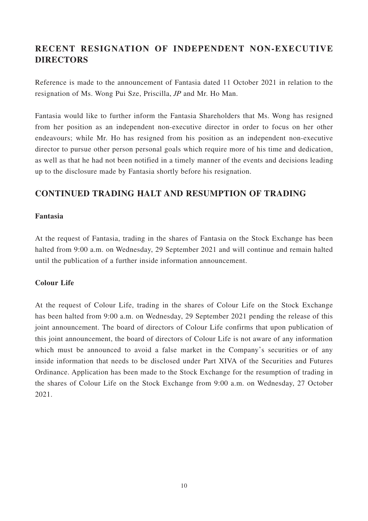# **RECENT RESIGNATION OF INDEPENDENT NON-EXECUTIVE DIRECTORS**

Reference is made to the announcement of Fantasia dated 11 October 2021 in relation to the resignation of Ms. Wong Pui Sze, Priscilla, JP and Mr. Ho Man.

Fantasia would like to further inform the Fantasia Shareholders that Ms. Wong has resigned from her position as an independent non-executive director in order to focus on her other endeavours; while Mr. Ho has resigned from his position as an independent non-executive director to pursue other person personal goals which require more of his time and dedication, as well as that he had not been notified in a timely manner of the events and decisions leading up to the disclosure made by Fantasia shortly before his resignation.

## **CONTINUED TRADING HALT AND RESUMPTION OF TRADING**

#### **Fantasia**

At the request of Fantasia, trading in the shares of Fantasia on the Stock Exchange has been halted from 9:00 a.m. on Wednesday, 29 September 2021 and will continue and remain halted until the publication of a further inside information announcement.

#### **Colour Life**

At the request of Colour Life, trading in the shares of Colour Life on the Stock Exchange has been halted from 9:00 a.m. on Wednesday, 29 September 2021 pending the release of this joint announcement. The board of directors of Colour Life confirms that upon publication of this joint announcement, the board of directors of Colour Life is not aware of any information which must be announced to avoid a false market in the Company's securities or of any inside information that needs to be disclosed under Part XIVA of the Securities and Futures Ordinance. Application has been made to the Stock Exchange for the resumption of trading in the shares of Colour Life on the Stock Exchange from 9:00 a.m. on Wednesday, 27 October 2021.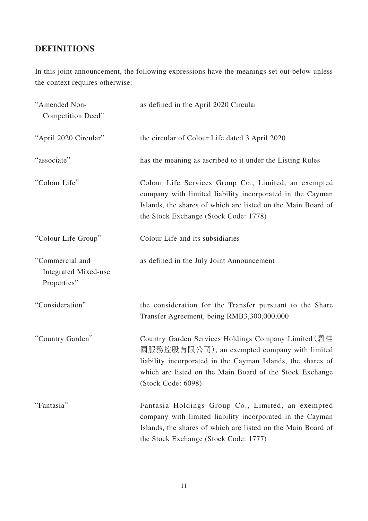# **DEFINITIONS**

In this joint announcement, the following expressions have the meanings set out below unless the context requires otherwise:

| "Amended Non-<br>Competition Deed"                     | as defined in the April 2020 Circular                                                                                                                                                                                                                 |
|--------------------------------------------------------|-------------------------------------------------------------------------------------------------------------------------------------------------------------------------------------------------------------------------------------------------------|
| "April 2020 Circular"                                  | the circular of Colour Life dated 3 April 2020                                                                                                                                                                                                        |
| "associate"                                            | has the meaning as ascribed to it under the Listing Rules                                                                                                                                                                                             |
| "Colour Life"                                          | Colour Life Services Group Co., Limited, an exempted<br>company with limited liability incorporated in the Cayman<br>Islands, the shares of which are listed on the Main Board of<br>the Stock Exchange (Stock Code: 1778)                            |
| "Colour Life Group"                                    | Colour Life and its subsidiaries                                                                                                                                                                                                                      |
| "Commercial and<br>Integrated Mixed-use<br>Properties" | as defined in the July Joint Announcement                                                                                                                                                                                                             |
| "Consideration"                                        | the consideration for the Transfer pursuant to the Share<br>Transfer Agreement, being RMB3,300,000,000                                                                                                                                                |
| "Country Garden"                                       | Country Garden Services Holdings Company Limited (碧桂<br>園服務控股有限公司), an exempted company with limited<br>liability incorporated in the Cayman Islands, the shares of<br>which are listed on the Main Board of the Stock Exchange<br>(Stock Code: 6098) |
| "Fantasia"                                             | Fantasia Holdings Group Co., Limited, an exempted<br>company with limited liability incorporated in the Cayman<br>Islands, the shares of which are listed on the Main Board of<br>the Stock Exchange (Stock Code: 1777)                               |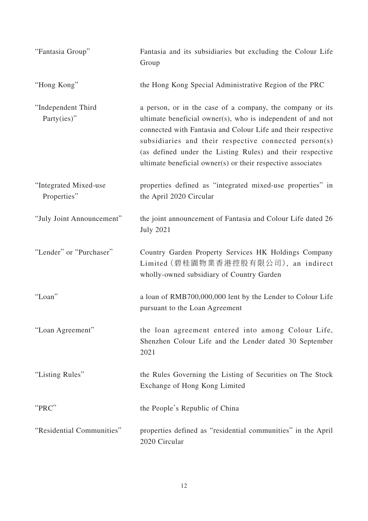| "Fantasia Group"                     | Fantasia and its subsidiaries but excluding the Colour Life<br>Group                                                                                                                                                                                                                                                                                                          |
|--------------------------------------|-------------------------------------------------------------------------------------------------------------------------------------------------------------------------------------------------------------------------------------------------------------------------------------------------------------------------------------------------------------------------------|
| "Hong Kong"                          | the Hong Kong Special Administrative Region of the PRC                                                                                                                                                                                                                                                                                                                        |
| "Independent Third<br>Party(ies)"    | a person, or in the case of a company, the company or its<br>ultimate beneficial owner(s), who is independent of and not<br>connected with Fantasia and Colour Life and their respective<br>subsidiaries and their respective connected person(s)<br>(as defined under the Listing Rules) and their respective<br>ultimate beneficial owner(s) or their respective associates |
| "Integrated Mixed-use<br>Properties" | properties defined as "integrated mixed-use properties" in<br>the April 2020 Circular                                                                                                                                                                                                                                                                                         |
| "July Joint Announcement"            | the joint announcement of Fantasia and Colour Life dated 26<br><b>July 2021</b>                                                                                                                                                                                                                                                                                               |
| "Lender" or "Purchaser"              | Country Garden Property Services HK Holdings Company<br>Limited (碧桂園物業香港控股有限公司), an indirect<br>wholly-owned subsidiary of Country Garden                                                                                                                                                                                                                                     |
| "Loan"                               | a loan of RMB700,000,000 lent by the Lender to Colour Life<br>pursuant to the Loan Agreement                                                                                                                                                                                                                                                                                  |
| "Loan Agreement"                     | the loan agreement entered into among Colour Life,<br>Shenzhen Colour Life and the Lender dated 30 September<br>2021                                                                                                                                                                                                                                                          |
| "Listing Rules"                      | the Rules Governing the Listing of Securities on The Stock<br>Exchange of Hong Kong Limited                                                                                                                                                                                                                                                                                   |
| "PRC"                                | the People's Republic of China                                                                                                                                                                                                                                                                                                                                                |
| "Residential Communities"            | properties defined as "residential communities" in the April<br>2020 Circular                                                                                                                                                                                                                                                                                                 |